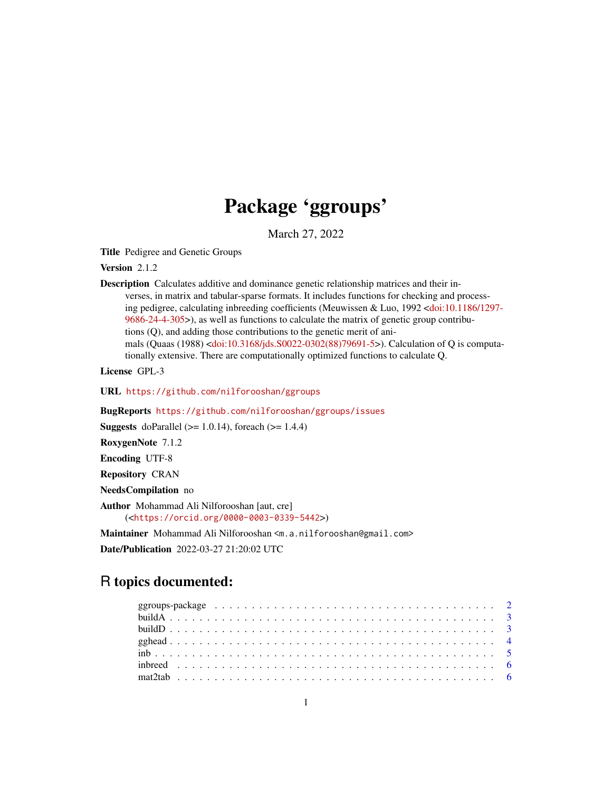## Package 'ggroups'

March 27, 2022

Title Pedigree and Genetic Groups

Version 2.1.2

Description Calculates additive and dominance genetic relationship matrices and their inverses, in matrix and tabular-sparse formats. It includes functions for checking and processing pedigree, calculating inbreeding coefficients (Meuwissen & Luo, 1992 [<doi:10.1186/1297-](https://doi.org/10.1186/1297-9686-24-4-305) [9686-24-4-305>](https://doi.org/10.1186/1297-9686-24-4-305)), as well as functions to calculate the matrix of genetic group contributions (Q), and adding those contributions to the genetic merit of animals (Quaas (1988) [<doi:10.3168/jds.S0022-0302\(88\)79691-5>](https://doi.org/10.3168/jds.S0022-0302(88)79691-5)). Calculation of Q is computationally extensive. There are computationally optimized functions to calculate Q.

License GPL-3

URL <https://github.com/nilforooshan/ggroups>

BugReports <https://github.com/nilforooshan/ggroups/issues>

**Suggests** doParallel ( $>= 1.0.14$ ), foreach ( $>= 1.4.4$ )

RoxygenNote 7.1.2

Encoding UTF-8

Repository CRAN

NeedsCompilation no

Author Mohammad Ali Nilforooshan [aut, cre] (<<https://orcid.org/0000-0003-0339-5442>>)

Maintainer Mohammad Ali Nilforooshan <m.a.nilforooshan@gmail.com>

Date/Publication 2022-03-27 21:20:02 UTC

## R topics documented: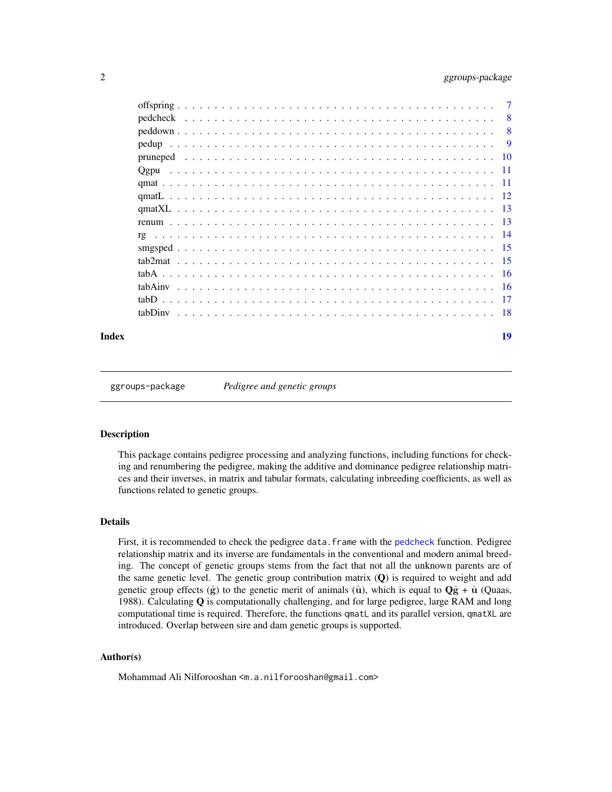## <span id="page-1-0"></span>2 ggroups-package

|      | 7   |
|------|-----|
|      | -8  |
|      | 8   |
|      | - 9 |
|      |     |
| Ogpu |     |
|      |     |
|      |     |
|      |     |
|      |     |
| rg   |     |
|      |     |
|      |     |
|      |     |
|      |     |
|      |     |
|      |     |
|      |     |

#### **Index** 2008 **Index** 2008 **Index**

ggroups-package *Pedigree and genetic groups*

#### Description

This package contains pedigree processing and analyzing functions, including functions for checking and renumbering the pedigree, making the additive and dominance pedigree relationship matrices and their inverses, in matrix and tabular formats, calculating inbreeding coefficients, as well as functions related to genetic groups.

#### Details

First, it is recommended to check the pedigree data.frame with the [pedcheck](#page-7-1) function. Pedigree relationship matrix and its inverse are fundamentals in the conventional and modern animal breeding. The concept of genetic groups stems from the fact that not all the unknown parents are of the same genetic level. The genetic group contribution matrix  $(Q)$  is required to weight and add genetic group effects  $(\hat{g})$  to the genetic merit of animals ( $\hat{u}$ ), which is equal to  $Q\hat{g} + \hat{u}$  (Quaas, 1988). Calculating  $Q$  is computationally challenging, and for large pedigree, large RAM and long computational time is required. Therefore, the functions qmatL and its parallel version, qmatXL are introduced. Overlap between sire and dam genetic groups is supported.

#### Author(s)

Mohammad Ali Nilforooshan <m.a.nilforooshan@gmail.com>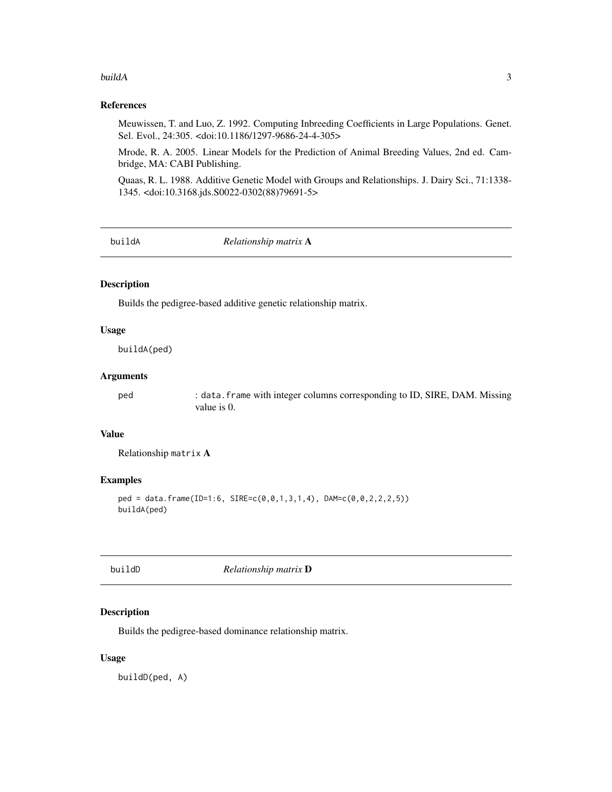#### <span id="page-2-0"></span>buildA 3

## References

Meuwissen, T. and Luo, Z. 1992. Computing Inbreeding Coefficients in Large Populations. Genet. Sel. Evol., 24:305. <doi:10.1186/1297-9686-24-4-305>

Mrode, R. A. 2005. Linear Models for the Prediction of Animal Breeding Values, 2nd ed. Cambridge, MA: CABI Publishing.

Quaas, R. L. 1988. Additive Genetic Model with Groups and Relationships. J. Dairy Sci., 71:1338- 1345. <doi:10.3168.jds.S0022-0302(88)79691-5>

<span id="page-2-1"></span>buildA *Relationship matrix* A

#### Description

Builds the pedigree-based additive genetic relationship matrix.

#### Usage

buildA(ped)

#### Arguments

ped : data.frame with integer columns corresponding to ID, SIRE, DAM. Missing value is 0.

#### Value

Relationship matrix A

#### Examples

```
ped = data.frame(ID=1:6, SIRE=c(0,0,1,3,1,4), DAM=c(0,0,2,2,2,5))
buildA(ped)
```
buildD *Relationship matrix* D

#### Description

Builds the pedigree-based dominance relationship matrix.

#### Usage

buildD(ped, A)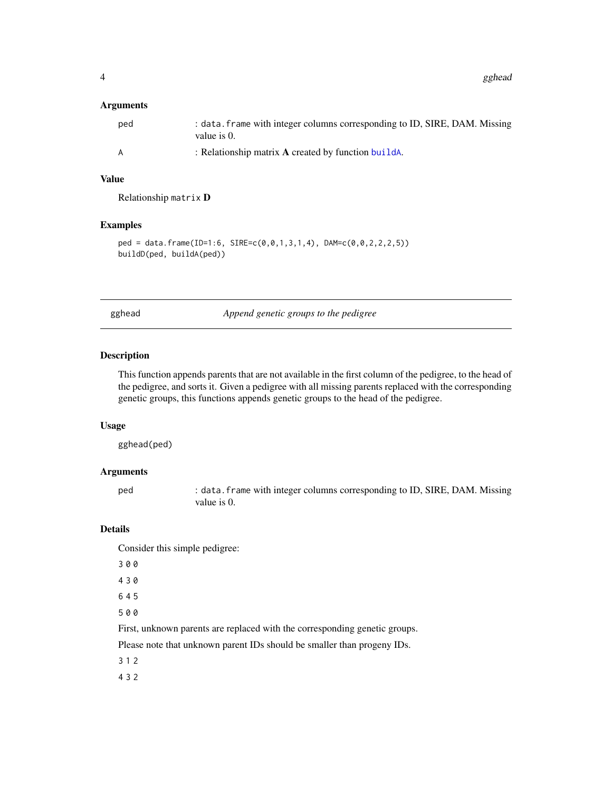#### <span id="page-3-0"></span>Arguments

| ped | : data. frame with integer columns corresponding to ID, SIRE, DAM. Missing<br>value is 0. |
|-----|-------------------------------------------------------------------------------------------|
| A   | : Relationship matrix $\bf{A}$ created by function builds.                                |

#### Value

Relationship matrix D

#### Examples

```
ped = data.frame(ID=1:6, SIRE=c(0,0,1,3,1,4), DAM=c(0,0,2,2,2,5))
buildD(ped, buildA(ped))
```
<span id="page-3-1"></span>gghead *Append genetic groups to the pedigree*

#### Description

This function appends parents that are not available in the first column of the pedigree, to the head of the pedigree, and sorts it. Given a pedigree with all missing parents replaced with the corresponding genetic groups, this functions appends genetic groups to the head of the pedigree.

## Usage

gghead(ped)

#### Arguments

ped : data.frame with integer columns corresponding to ID, SIRE, DAM. Missing value is 0.

#### Details

Consider this simple pedigree:

- 3 0 0
- 4 3 0
- 6 4 5
- 5 0 0

First, unknown parents are replaced with the corresponding genetic groups.

Please note that unknown parent IDs should be smaller than progeny IDs.

3 1 2

4 3 2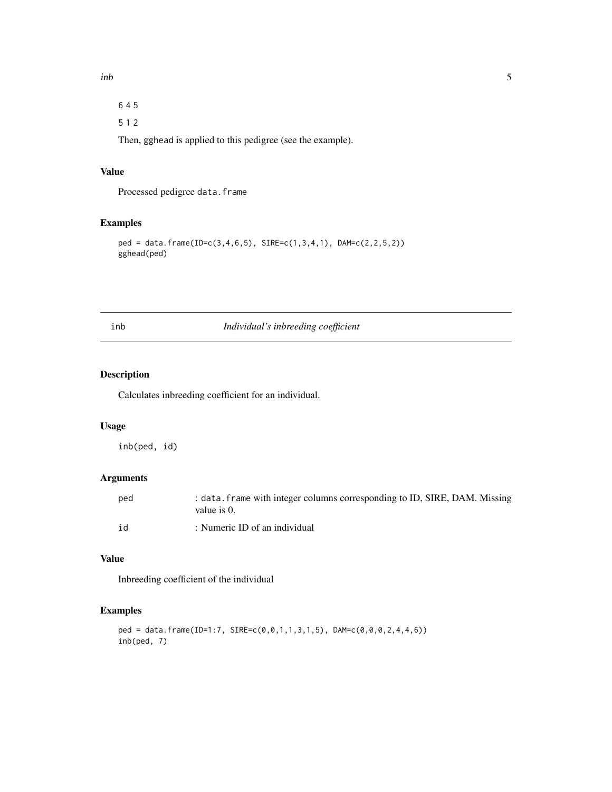<span id="page-4-0"></span>6 4 5

5 1 2

Then, gghead is applied to this pedigree (see the example).

## Value

Processed pedigree data.frame

## Examples

```
ped = data.frame(ID=c(3,4,6,5), SIRE=c(1,3,4,1), DAM=c(2,2,5,2))
gghead(ped)
```
inb *Individual's inbreeding coefficient*

## Description

Calculates inbreeding coefficient for an individual.

## Usage

inb(ped, id)

## Arguments

| ped | : data. frame with integer columns corresponding to ID, SIRE, DAM. Missing<br>value is 0. |
|-----|-------------------------------------------------------------------------------------------|
| id  | : Numeric ID of an individual                                                             |

## Value

Inbreeding coefficient of the individual

```
ped = data.frame(ID=1:7, SIRE=c(0,0,1,1,3,1,5), DAM=c(0,0,0,2,4,4,6))
inb(ped, 7)
```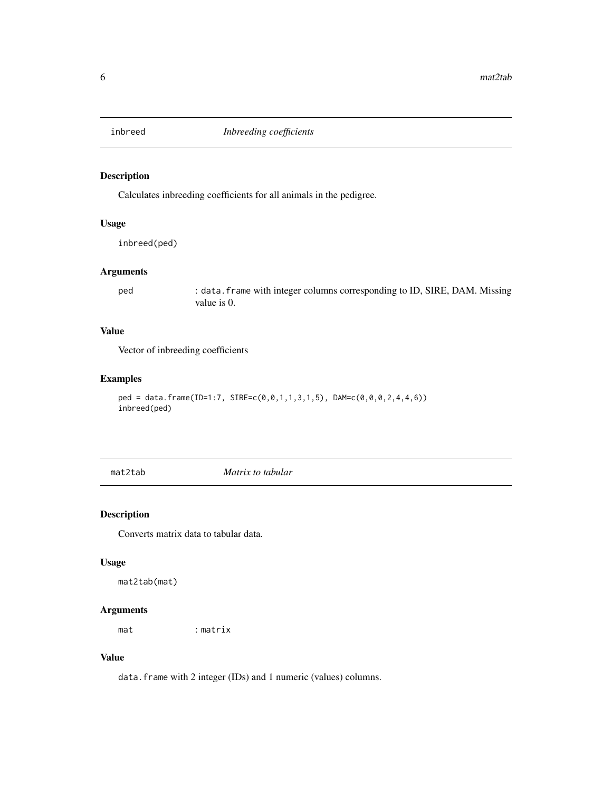<span id="page-5-0"></span>

Calculates inbreeding coefficients for all animals in the pedigree.

## Usage

inbreed(ped)

## Arguments

ped : data.frame with integer columns corresponding to ID, SIRE, DAM. Missing value is 0.

## Value

Vector of inbreeding coefficients

## Examples

```
ped = data.frame(ID=1:7, SIRE=c(0,0,1,1,3,1,5), DAM=c(0,0,0,2,4,4,6))
inbreed(ped)
```
mat2tab *Matrix to tabular*

#### Description

Converts matrix data to tabular data.

## Usage

mat2tab(mat)

## Arguments

mat : matrix

#### Value

data.frame with 2 integer (IDs) and 1 numeric (values) columns.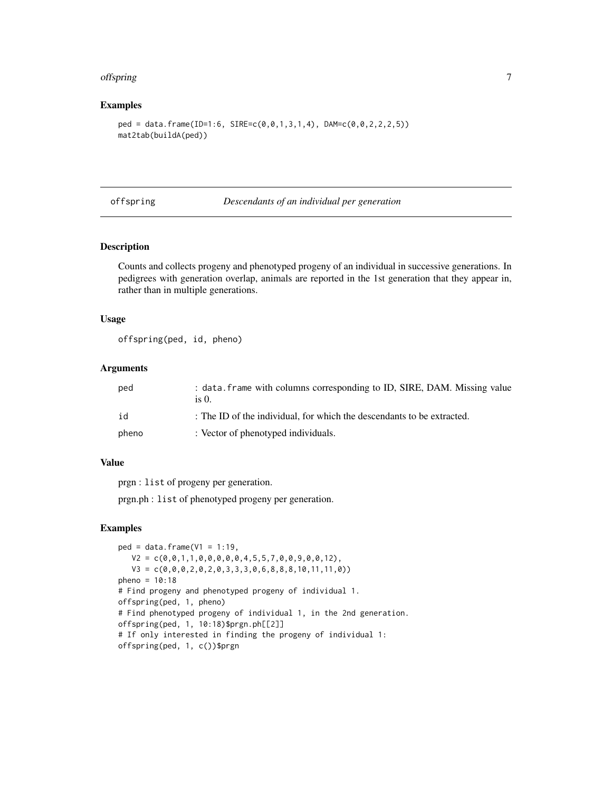#### <span id="page-6-0"></span>offspring the contract of the contract of the contract of the contract of the contract of the contract of the contract of the contract of the contract of the contract of the contract of the contract of the contract of the

#### Examples

```
ped = data.frame(ID=1:6, SIRE=c(0,0,1,3,1,4), DAM=c(0,0,2,2,2,5))
mat2tab(buildA(ped))
```
#### offspring *Descendants of an individual per generation*

## Description

Counts and collects progeny and phenotyped progeny of an individual in successive generations. In pedigrees with generation overlap, animals are reported in the 1st generation that they appear in, rather than in multiple generations.

#### Usage

offspring(ped, id, pheno)

#### Arguments

| ped   | : data. frame with columns corresponding to ID, SIRE, DAM. Missing value<br>is 0. |
|-------|-----------------------------------------------------------------------------------|
| id    | : The ID of the individual, for which the descendants to be extracted.            |
| pheno | : Vector of phenotyped individuals.                                               |

## Value

prgn : list of progeny per generation.

prgn.ph : list of phenotyped progeny per generation.

```
ped = data.frame(V1 = 1:19,
  V2 = c(0, 0, 1, 1, 0, 0, 0, 0, 0, 4, 5, 5, 7, 0, 0, 9, 0, 0, 12),
  V3 = c(0,0,0,2,0,2,0,3,3,3,0,6,8,8,8,10,11,11,0))
pheno = 10:18# Find progeny and phenotyped progeny of individual 1.
offspring(ped, 1, pheno)
# Find phenotyped progeny of individual 1, in the 2nd generation.
offspring(ped, 1, 10:18)$prgn.ph[[2]]
# If only interested in finding the progeny of individual 1:
offspring(ped, 1, c())$prgn
```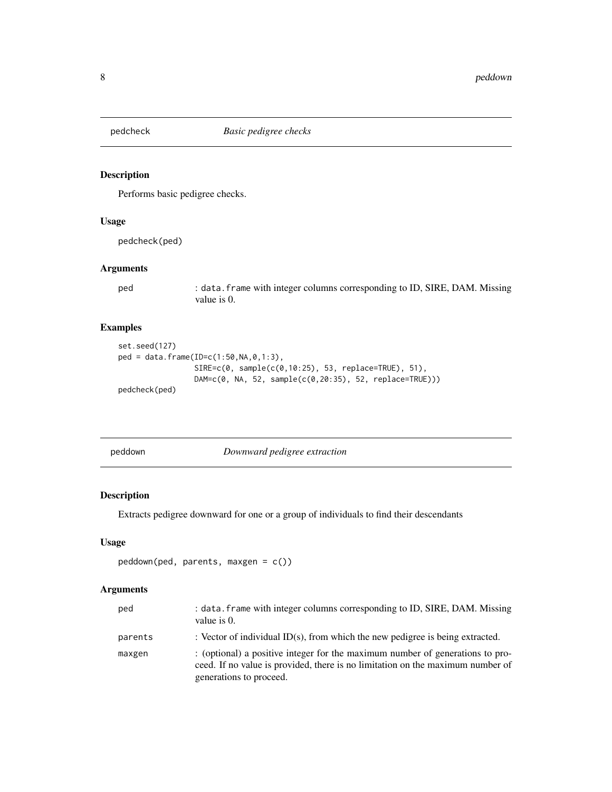<span id="page-7-1"></span><span id="page-7-0"></span>

Performs basic pedigree checks.

#### Usage

pedcheck(ped)

#### Arguments

ped : data.frame with integer columns corresponding to ID, SIRE, DAM. Missing value is 0.

## Examples

```
set.seed(127)
ped = data.frame(ID=c(1:50,NA,0,1:3),
                 SIRE=c(0, sample(c(0,10:25), 53, replace=TRUE), 51),
                 DAM=c(0, NA, 52, sample(c(0,20:35), 52, replace=TRUE)))
pedcheck(ped)
```
peddown *Downward pedigree extraction*

## Description

Extracts pedigree downward for one or a group of individuals to find their descendants

#### Usage

```
peddown(ped, parents, maxgen = c())
```
#### Arguments

| ped     | : data. frame with integer columns corresponding to ID, SIRE, DAM. Missing<br>value is 0.                                                                                                  |
|---------|--------------------------------------------------------------------------------------------------------------------------------------------------------------------------------------------|
| parents | : Vector of individual ID(s), from which the new pedigree is being extracted.                                                                                                              |
| maxgen  | : (optional) a positive integer for the maximum number of generations to pro-<br>ceed. If no value is provided, there is no limitation on the maximum number of<br>generations to proceed. |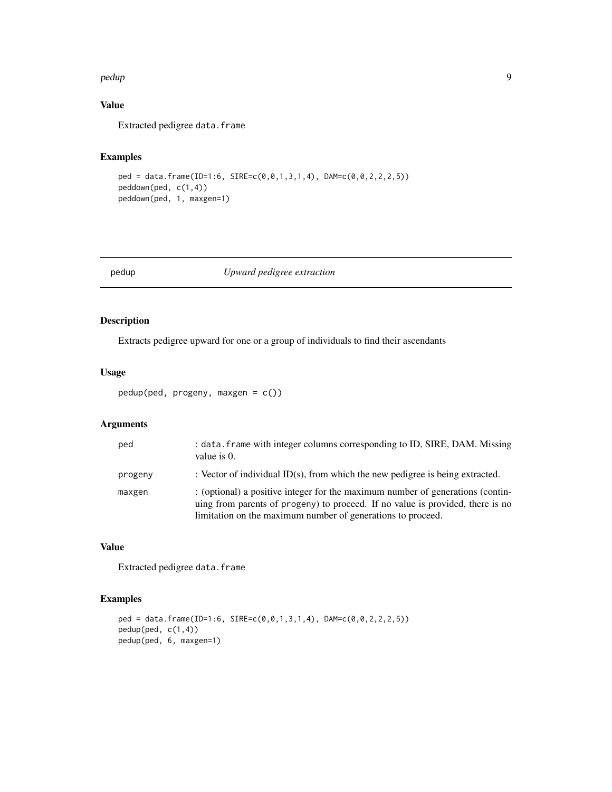#### <span id="page-8-0"></span>pedup 9

## Value

Extracted pedigree data.frame

#### Examples

```
ped = data.frame(ID=1:6, SIRE=c(0,0,1,3,1,4), DAM=c(0,0,2,2,2,5))
peddown(ped, c(1,4))
peddown(ped, 1, maxgen=1)
```
pedup *Upward pedigree extraction*

## Description

Extracts pedigree upward for one or a group of individuals to find their ascendants

#### Usage

```
pedup(ped, progeny, maxgen = c())
```
## Arguments

| ped     | : data. frame with integer columns corresponding to ID, SIRE, DAM. Missing<br>value is 0.                                                                                                                                       |
|---------|---------------------------------------------------------------------------------------------------------------------------------------------------------------------------------------------------------------------------------|
| progeny | : Vector of individual ID(s), from which the new pedigree is being extracted.                                                                                                                                                   |
| maxgen  | : (optional) a positive integer for the maximum number of generations (contin-<br>uing from parents of progeny) to proceed. If no value is provided, there is no<br>limitation on the maximum number of generations to proceed. |

## Value

Extracted pedigree data.frame

```
ped = data.frame(ID=1:6, SIRE=c(0,0,1,3,1,4), DAM=c(0,0,2,2,2,5))
pedup(ped, c(1,4))
pedup(ped, 6, maxgen=1)
```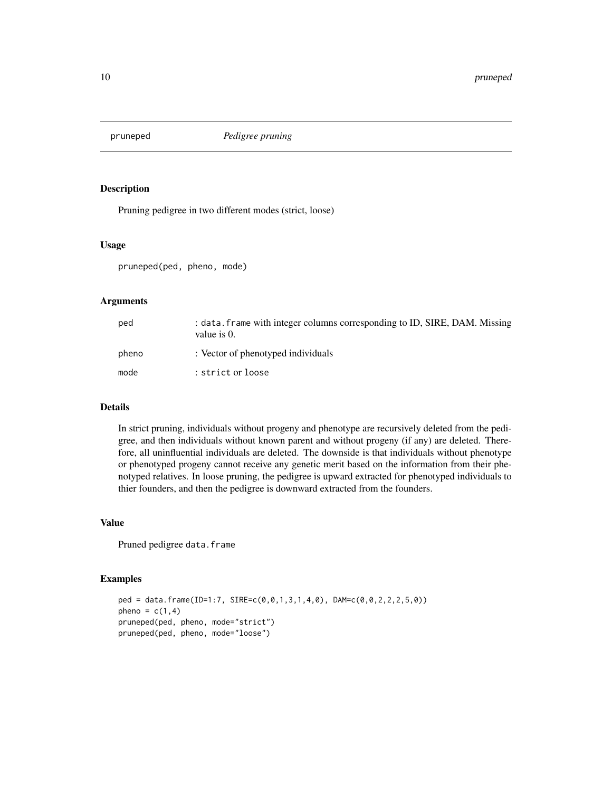<span id="page-9-0"></span>

Pruning pedigree in two different modes (strict, loose)

#### Usage

pruneped(ped, pheno, mode)

#### Arguments

| ped   | : data. frame with integer columns corresponding to ID, SIRE, DAM. Missing<br>value is $0$ . |
|-------|----------------------------------------------------------------------------------------------|
| pheno | : Vector of phenotyped individuals                                                           |
| mode  | : strict or loose                                                                            |

#### Details

In strict pruning, individuals without progeny and phenotype are recursively deleted from the pedigree, and then individuals without known parent and without progeny (if any) are deleted. Therefore, all uninfluential individuals are deleted. The downside is that individuals without phenotype or phenotyped progeny cannot receive any genetic merit based on the information from their phenotyped relatives. In loose pruning, the pedigree is upward extracted for phenotyped individuals to thier founders, and then the pedigree is downward extracted from the founders.

#### Value

Pruned pedigree data.frame

```
ped = data.frame(ID=1:7, SIRE=c(0,0,1,3,1,4,0), DAM=c(0,0,2,2,2,5,0))
pheno = c(1,4)pruneped(ped, pheno, mode="strict")
pruneped(ped, pheno, mode="loose")
```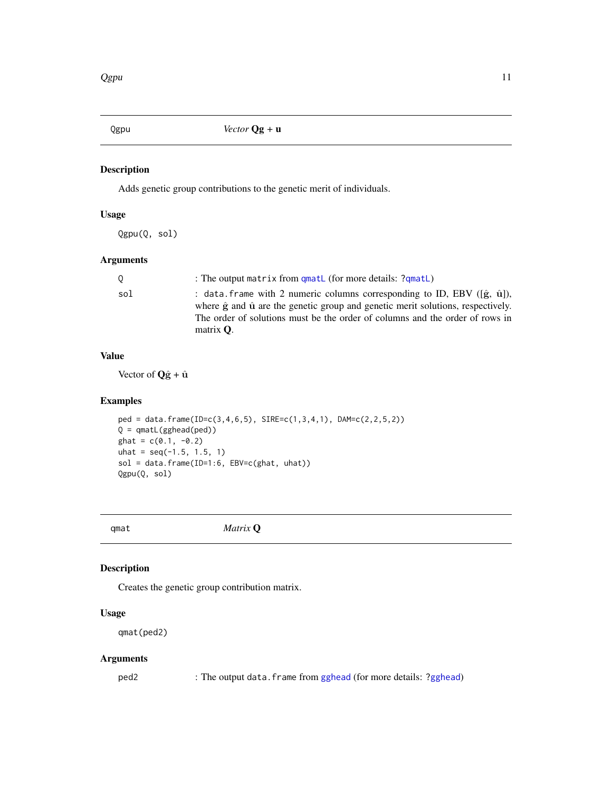<span id="page-10-0"></span>

Adds genetic group contributions to the genetic merit of individuals.

#### Usage

Qgpu(Q, sol)

## Arguments

|     | : The output matrix from qmatL (for more details: ?qmatL)                                                                                                                                                  |
|-----|------------------------------------------------------------------------------------------------------------------------------------------------------------------------------------------------------------|
| sol | : data frame with 2 numeric columns corresponding to ID, EBV ( $(\hat{\mathbf{g}}, \hat{\mathbf{u}})$ ),<br>where $\hat{g}$ and $\hat{u}$ are the genetic group and genetic merit solutions, respectively. |
|     | The order of solutions must be the order of columns and the order of rows in                                                                                                                               |
|     | matrix $\mathbf{O}$ .                                                                                                                                                                                      |

#### Value

Vector of  $\mathbf{Q}\hat{\mathbf{g}} + \hat{\mathbf{u}}$ 

## Examples

```
ped = data.frame(ID=c(3,4,6,5), SIRE=c(1,3,4,1), DAM=c(2,2,5,2))
Q =qmatL(gghead(ped))
ghat = c(0.1, -0.2)uhat = seq(-1.5, 1.5, 1)sol = data.frame(ID=1:6, EBV=c(ghat, uhat))
Qgpu(Q, sol)
```
qmat *Matrix* Q

## Description

Creates the genetic group contribution matrix.

## Usage

qmat(ped2)

## Arguments

ped2 : The output data.frame from [gghead](#page-3-1) (for more details: [?gghead](#page-3-1))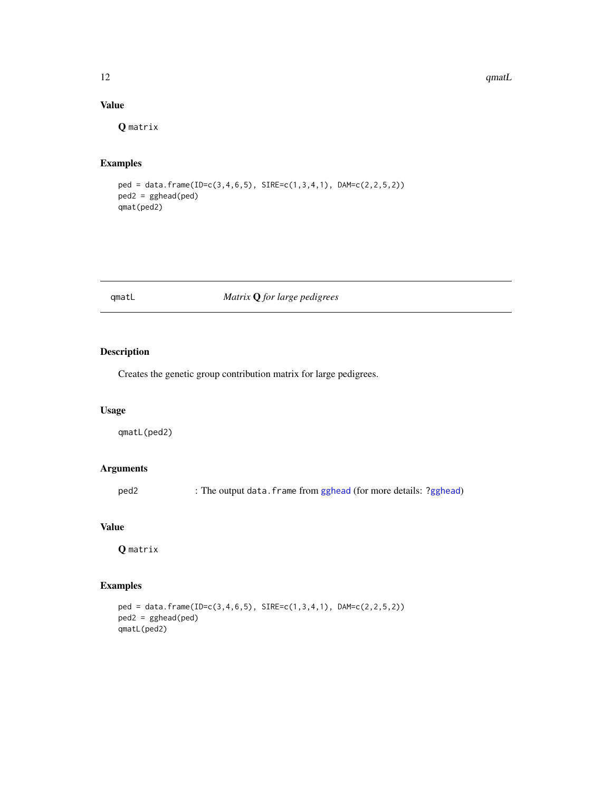<span id="page-11-0"></span>12 **qmatL** 

## Value

Q matrix

## Examples

```
ped = data.frame(ID=c(3,4,6,5), SIRE=c(1,3,4,1), DAM=c(2,2,5,2))
ped2 = gghead(ped)
qmat(ped2)
```
## <span id="page-11-1"></span>qmatL *Matrix* Q *for large pedigrees*

## Description

Creates the genetic group contribution matrix for large pedigrees.

#### Usage

qmatL(ped2)

#### Arguments

ped2 : The output data.frame from [gghead](#page-3-1) (for more details: [?gghead](#page-3-1))

#### Value

Q matrix

## Examples

ped = data.frame(ID=c(3,4,6,5), SIRE=c(1,3,4,1), DAM=c(2,2,5,2)) ped2 = gghead(ped) qmatL(ped2)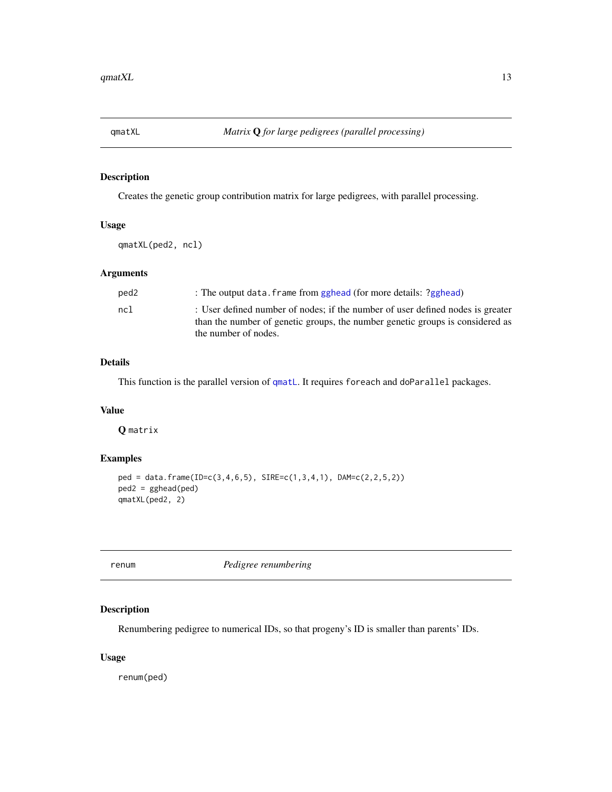<span id="page-12-0"></span>

Creates the genetic group contribution matrix for large pedigrees, with parallel processing.

## Usage

qmatXL(ped2, ncl)

## Arguments

| ped <sub>2</sub> | : The output data. frame from gghead (for more details: ?gghead)                                                                                                |
|------------------|-----------------------------------------------------------------------------------------------------------------------------------------------------------------|
| nc1              | : User defined number of nodes; if the number of user defined nodes is greater<br>than the number of genetic groups, the number genetic groups is considered as |
|                  | the number of nodes.                                                                                                                                            |

## Details

This function is the parallel version of [qmatL](#page-11-1). It requires foreach and doParallel packages.

#### Value

Q matrix

## Examples

```
ped = data.frame(ID=c(3,4,6,5), SIRE=c(1,3,4,1), DAM=c(2,2,5,2))
ped2 = gghead(ped)
qmatXL(ped2, 2)
```
renum *Pedigree renumbering*

## Description

Renumbering pedigree to numerical IDs, so that progeny's ID is smaller than parents' IDs.

#### Usage

renum(ped)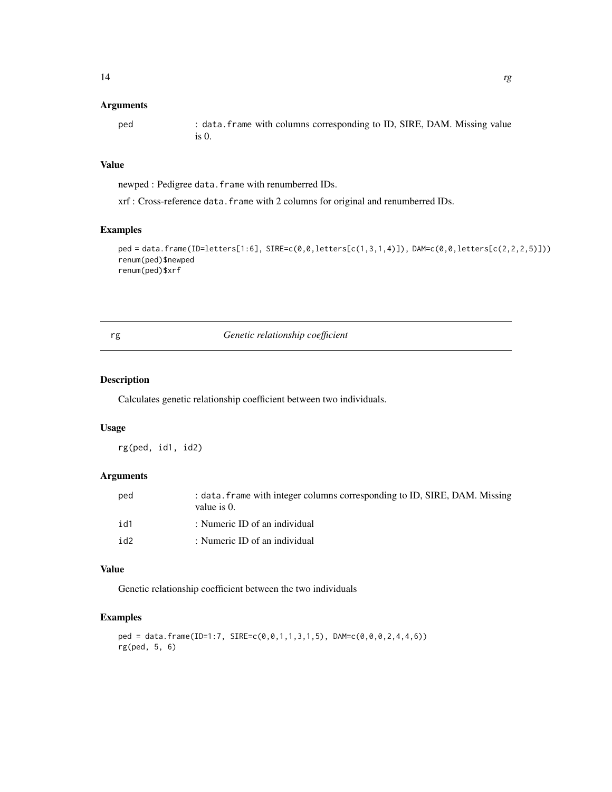#### <span id="page-13-0"></span>Arguments

| ped | : data. frame with columns corresponding to ID, SIRE, DAM. Missing value |
|-----|--------------------------------------------------------------------------|
|     |                                                                          |

## Value

newped : Pedigree data.frame with renumberred IDs.

xrf : Cross-reference data.frame with 2 columns for original and renumberred IDs.

## Examples

```
ped = data.frame(ID=letters[1:6], SIRE=c(0,0,letters[c(1,3,1,4)]), DAM=c(0,0,letters[c(2,2,2,5)]))
renum(ped)$newped
renum(ped)$xrf
```
## rg *Genetic relationship coefficient*

#### Description

Calculates genetic relationship coefficient between two individuals.

#### Usage

rg(ped, id1, id2)

## Arguments

| ped             | : data. frame with integer columns corresponding to ID, SIRE, DAM. Missing<br>value is $0$ . |
|-----------------|----------------------------------------------------------------------------------------------|
| id1             | : Numeric ID of an individual                                                                |
| id <sub>2</sub> | : Numeric ID of an individual                                                                |

#### Value

Genetic relationship coefficient between the two individuals

```
ped = data.frame(ID=1:7, SIRE=c(0,0,1,1,3,1,5), DAM=c(0,0,0,2,4,4,6))
rg(ped, 5, 6)
```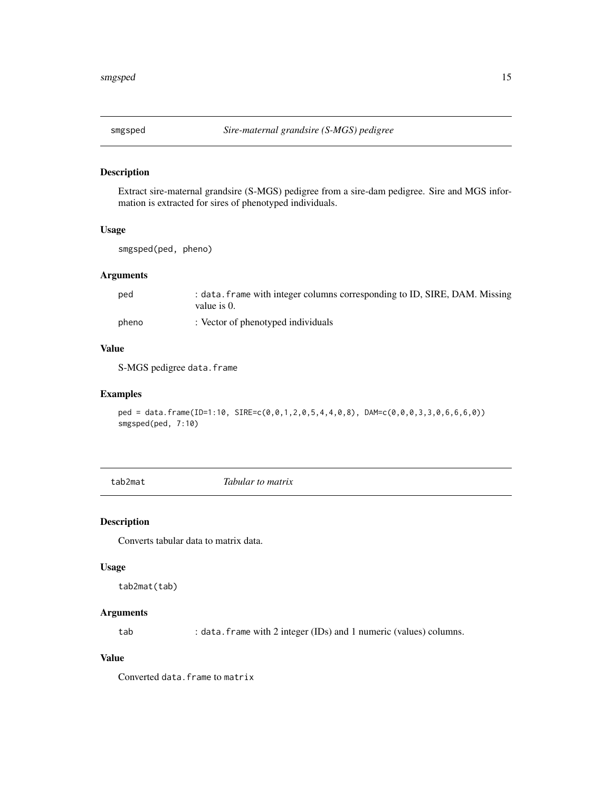<span id="page-14-0"></span>

Extract sire-maternal grandsire (S-MGS) pedigree from a sire-dam pedigree. Sire and MGS information is extracted for sires of phenotyped individuals.

## Usage

smgsped(ped, pheno)

## Arguments

| ped   | : data. frame with integer columns corresponding to ID, SIRE, DAM. Missing<br>value is 0. |
|-------|-------------------------------------------------------------------------------------------|
| pheno | : Vector of phenotyped individuals                                                        |

#### Value

S-MGS pedigree data.frame

#### Examples

ped = data.frame(ID=1:10, SIRE=c(0,0,1,2,0,5,4,4,0,8), DAM=c(0,0,0,3,3,0,6,6,6,0)) smgsped(ped, 7:10)

tab2mat *Tabular to matrix*

## Description

Converts tabular data to matrix data.

#### Usage

tab2mat(tab)

## Arguments

tab : data.frame with 2 integer (IDs) and 1 numeric (values) columns.

#### Value

Converted data.frame to matrix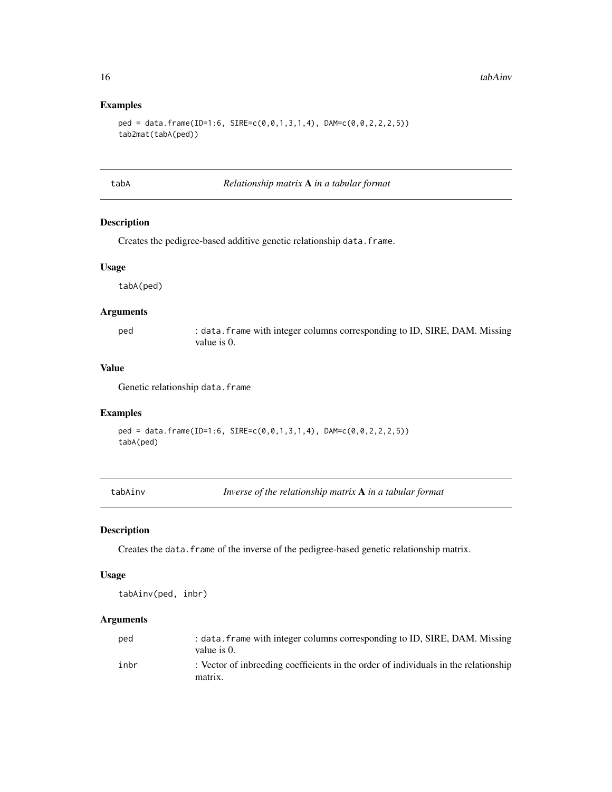#### Examples

```
ped = data.frame(ID=1:6, SIRE=c(0,0,1,3,1,4), DAM=c(0,0,2,2,2,5))
tab2mat(tabA(ped))
```
<span id="page-15-1"></span>tabA *Relationship matrix* A *in a tabular format*

#### Description

Creates the pedigree-based additive genetic relationship data.frame.

#### Usage

tabA(ped)

#### Arguments

ped : data.frame with integer columns corresponding to ID, SIRE, DAM. Missing value is 0.

## Value

Genetic relationship data.frame

#### Examples

```
ped = data.frame(ID=1:6, SIRE=c(0,0,1,3,1,4), DAM=c(0,0,2,2,2,5))
tabA(ped)
```
tabAinv *Inverse of the relationship matrix* A *in a tabular format*

#### Description

Creates the data.frame of the inverse of the pedigree-based genetic relationship matrix.

#### Usage

tabAinv(ped, inbr)

#### Arguments

| ped  | : data. frame with integer columns corresponding to ID, SIRE, DAM. Missing          |
|------|-------------------------------------------------------------------------------------|
|      | value is 0.                                                                         |
| inbr | : Vector of inbreeding coefficients in the order of individuals in the relationship |
|      | matrix.                                                                             |

<span id="page-15-0"></span>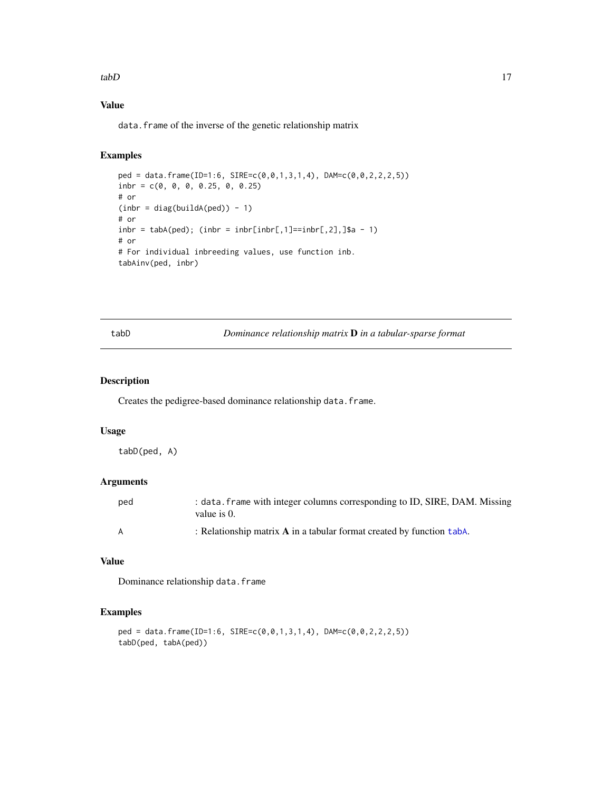#### <span id="page-16-0"></span> $tabD$  17

#### Value

data. frame of the inverse of the genetic relationship matrix

## Examples

```
ped = data.frame(ID=1:6, SIRE=c(0,0,1,3,1,4), DAM=c(0,0,2,2,2,5))
inbr = c(0, 0, 0, 0.25, 0, 0.25)
# or
(int = diag(buildA(ped)) - 1)# or
inbr = tabA(ped); (inbr = inbr[inbr[, 1]==inbr[, 2],]$a - 1)
# or
# For individual inbreeding values, use function inb.
tabAinv(ped, inbr)
```
tabD *Dominance relationship matrix* D *in a tabular-sparse format*

#### Description

Creates the pedigree-based dominance relationship data.frame.

#### Usage

tabD(ped, A)

## Arguments

| ped | : data. frame with integer columns corresponding to ID, SIRE, DAM. Missing<br>value is 0. |
|-----|-------------------------------------------------------------------------------------------|
| A   | : Relationship matrix $\bf{A}$ in a tabular format created by function tabA.              |

## Value

Dominance relationship data.frame

```
ped = data.frame(ID=1:6, SIRE=c(0,0,1,3,1,4), DAM=c(0,0,2,2,2,5))
tabD(ped, tabA(ped))
```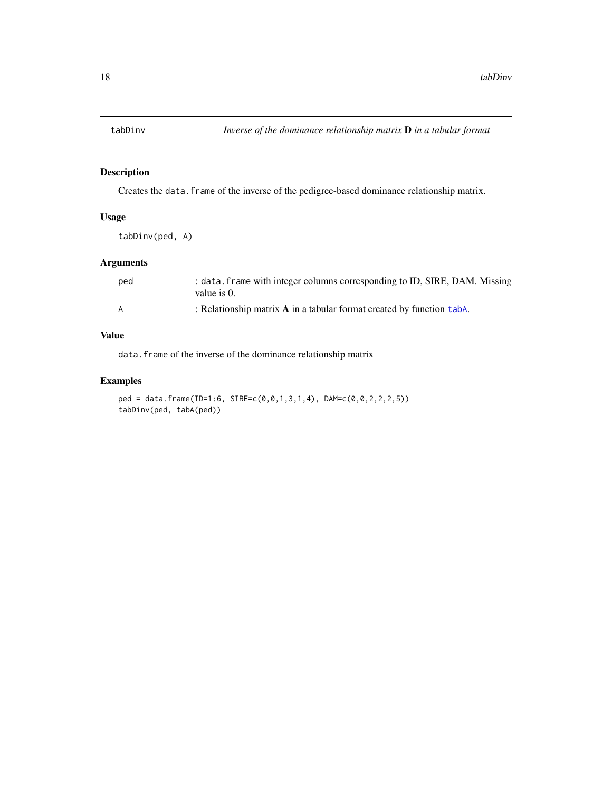<span id="page-17-0"></span>

Creates the data.frame of the inverse of the pedigree-based dominance relationship matrix.

## Usage

tabDinv(ped, A)

## Arguments

| ped | : data. frame with integer columns corresponding to ID, SIRE, DAM. Missing<br>value is 0. |
|-----|-------------------------------------------------------------------------------------------|
| A   | : Relationship matrix $\bf{A}$ in a tabular format created by function taba.              |

## Value

data. frame of the inverse of the dominance relationship matrix

```
ped = data.frame(ID=1:6, SIRE=c(0,0,1,3,1,4), DAM=c(0,0,2,2,2,5))
tabDinv(ped, tabA(ped))
```